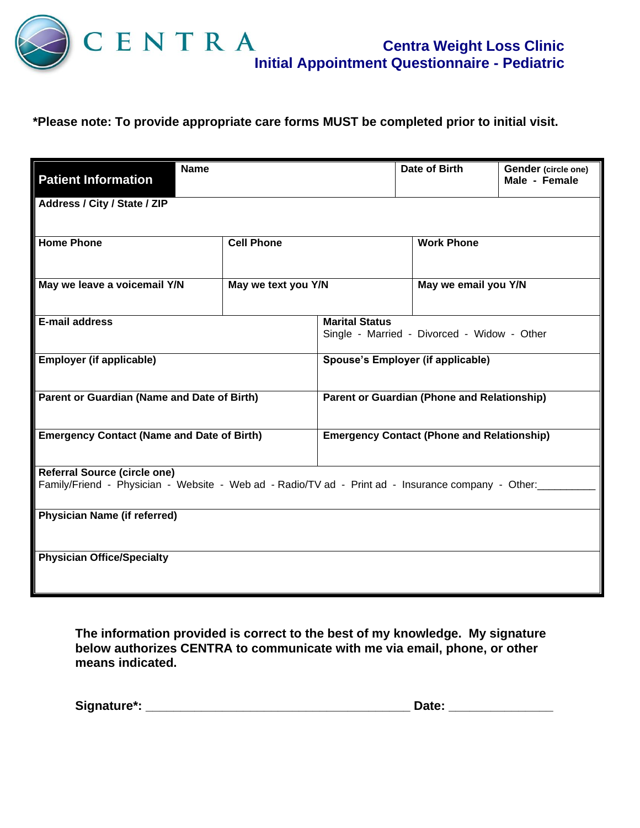

Ш

## **\*Please note: To provide appropriate care forms MUST be completed prior to initial visit.**

| <b>Patient Information</b>                                                                                                                | <b>Name</b>         |  | Date of Birth                                                        | Gender (circle one)<br>Male - Female |  |
|-------------------------------------------------------------------------------------------------------------------------------------------|---------------------|--|----------------------------------------------------------------------|--------------------------------------|--|
| Address / City / State / ZIP                                                                                                              |                     |  |                                                                      |                                      |  |
| <b>Home Phone</b>                                                                                                                         | <b>Cell Phone</b>   |  | <b>Work Phone</b>                                                    |                                      |  |
| May we leave a voicemail Y/N                                                                                                              | May we text you Y/N |  | May we email you Y/N                                                 |                                      |  |
| E-mail address                                                                                                                            |                     |  | <b>Marital Status</b><br>Single - Married - Divorced - Widow - Other |                                      |  |
| <b>Employer (if applicable)</b><br>Spouse's Employer (if applicable)                                                                      |                     |  |                                                                      |                                      |  |
| <b>Parent or Guardian (Phone and Relationship)</b><br>Parent or Guardian (Name and Date of Birth)                                         |                     |  |                                                                      |                                      |  |
| <b>Emergency Contact (Name and Date of Birth)</b>                                                                                         |                     |  | <b>Emergency Contact (Phone and Relationship)</b>                    |                                      |  |
| <b>Referral Source (circle one)</b><br>Family/Friend - Physician - Website - Web ad - Radio/TV ad - Print ad - Insurance company - Other: |                     |  |                                                                      |                                      |  |
| <b>Physician Name (if referred)</b>                                                                                                       |                     |  |                                                                      |                                      |  |
| <b>Physician Office/Specialty</b>                                                                                                         |                     |  |                                                                      |                                      |  |

**The information provided is correct to the best of my knowledge. My signature below authorizes CENTRA to communicate with me via email, phone, or other means indicated.**

| Signature*: |  |
|-------------|--|
|             |  |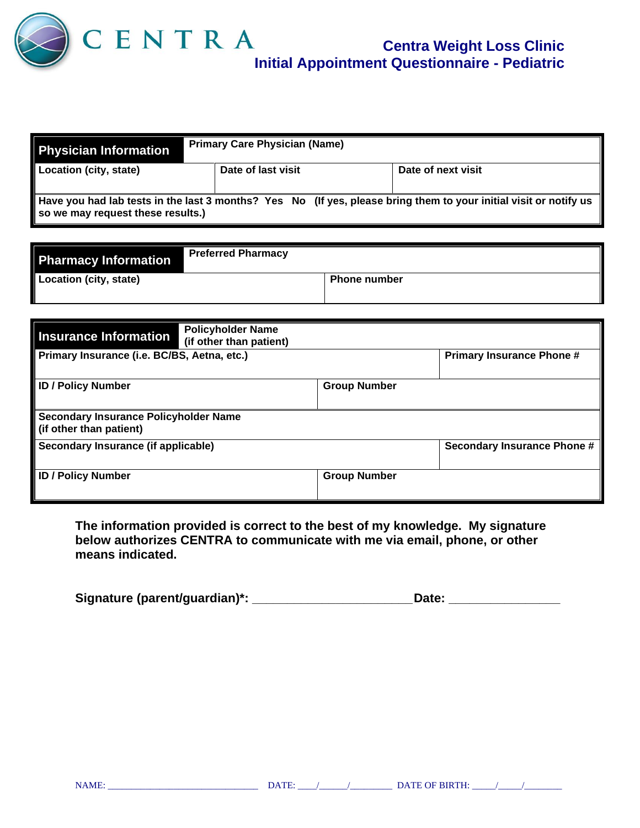

| <b>Physician Information</b>                                                                                                                           | <b>Primary Care Physician (Name)</b> |                    |  |  |
|--------------------------------------------------------------------------------------------------------------------------------------------------------|--------------------------------------|--------------------|--|--|
| Location (city, state)                                                                                                                                 | Date of last visit                   | Date of next visit |  |  |
| Have you had lab tests in the last 3 months? Yes No (If yes, please bring them to your initial visit or notify us<br>so we may request these results.) |                                      |                    |  |  |

| <b>Pharmacy Information</b> | <b>Preferred Pharmacy</b> |                     |  |
|-----------------------------|---------------------------|---------------------|--|
| Location (city, state)      |                           | <b>Phone number</b> |  |

| <b>Insurance Information</b>                                            | <b>Policyholder Name</b><br>(if other than patient) |                     |                                  |
|-------------------------------------------------------------------------|-----------------------------------------------------|---------------------|----------------------------------|
| Primary Insurance (i.e. BC/BS, Aetna, etc.)                             |                                                     |                     | <b>Primary Insurance Phone #</b> |
| <b>ID / Policy Number</b>                                               |                                                     | <b>Group Number</b> |                                  |
| <b>Secondary Insurance Policyholder Name</b><br>(if other than patient) |                                                     |                     |                                  |
| Secondary Insurance (if applicable)                                     |                                                     |                     | Secondary Insurance Phone #      |
| <b>ID / Policy Number</b>                                               |                                                     | <b>Group Number</b> |                                  |

**The information provided is correct to the best of my knowledge. My signature below authorizes CENTRA to communicate with me via email, phone, or other means indicated.**

| Signature (parent/guardian)*: |  | <b>Date:</b> |
|-------------------------------|--|--------------|
|-------------------------------|--|--------------|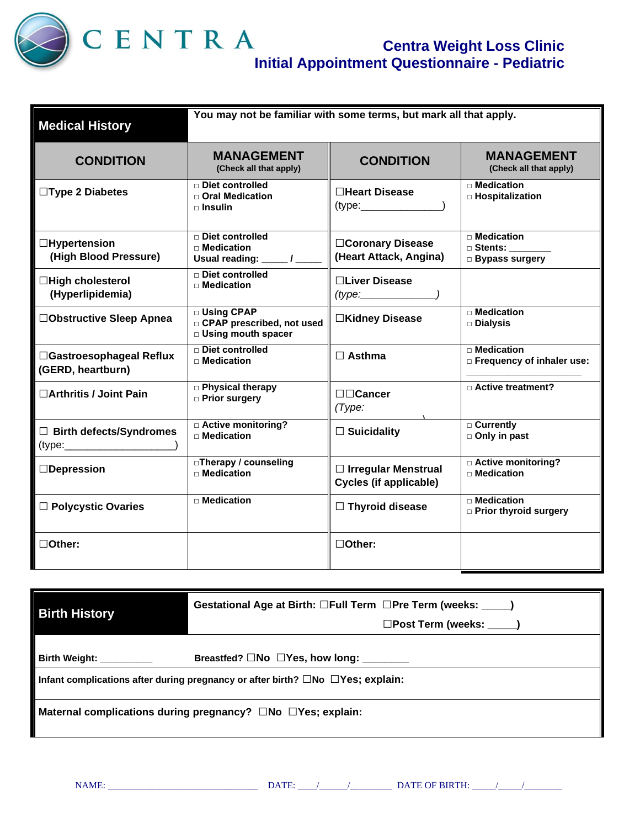

| <b>Medical History</b>                        | You may not be familiar with some terms, but mark all that apply.          |                                                             |                                                                 |  |
|-----------------------------------------------|----------------------------------------------------------------------------|-------------------------------------------------------------|-----------------------------------------------------------------|--|
| <b>CONDITION</b>                              | <b>MANAGEMENT</b><br>(Check all that apply)                                | <b>CONDITION</b>                                            | <b>MANAGEMENT</b><br>(Check all that apply)                     |  |
| $\Box$ Type 2 Diabetes                        | □ Diet controlled<br>□ Oral Medication<br>$\sqcap$ Insulin                 | <b>□Heart Disease</b><br>$(t$ ype: $\sqrt{t}$               | <b>D</b> Medication<br>$\Box$ Hospitalization                   |  |
| $\Box$ Hypertension<br>(High Blood Pressure)  | □ Diet controlled<br>$\Box$ Medication<br>Usual reading: ____/_            | □Coronary Disease<br>(Heart Attack, Angina)                 | $\Box$ Medication<br>$\square$ Stents:<br><b>Bypass surgery</b> |  |
| □High cholesterol<br>(Hyperlipidemia)         | $\Box$ Diet controlled<br>$\Box$ Medication                                | □Liver Disease<br>(type:                                    |                                                                 |  |
| □Obstructive Sleep Apnea                      | □ Using CPAP<br>□ CPAP prescribed, not used<br><b>D</b> Using mouth spacer | □Kidney Disease                                             | □ Medication<br>□ Dialysis                                      |  |
| □Gastroesophageal Reflux<br>(GERD, heartburn) | $\Box$ Diet controlled<br>$\Box$ Medication                                | $\Box$ Asthma                                               | $\Box$ Medication<br>$\Box$ Frequency of inhaler use:           |  |
| □ Arthritis / Joint Pain                      | <b>D</b> Physical therapy<br>□ Prior surgery                               | □□Cancer<br>(Type:                                          | □ Active treatment?                                             |  |
| $\Box$ Birth defects/Syndromes<br>(type:      | □ Active monitoring?<br>$\Box$ Medication                                  | $\Box$ Suicidality                                          | □ Currently<br>□ Only in past                                   |  |
| $\Box$ Depression                             | □Therapy / counseling<br>$\Box$ Medication                                 | $\Box$ Irregular Menstrual<br><b>Cycles (if applicable)</b> | □ Active monitoring?<br>$\Box$ Medication                       |  |
| □ Polycystic Ovaries                          | $\Box$ Medication                                                          | $\Box$ Thyroid disease                                      | $\Box$ Medication<br><b>D</b> Prior thyroid surgery             |  |
| $\Box$ Other:                                 |                                                                            | □Other:                                                     |                                                                 |  |

| <b>Birth History</b>                                                                             | Gestational Age at Birth: □Full Term □Pre Term (weeks: ____)<br>□Post Term (weeks: _____) |  |  |  |
|--------------------------------------------------------------------------------------------------|-------------------------------------------------------------------------------------------|--|--|--|
|                                                                                                  |                                                                                           |  |  |  |
| Birth Weight:                                                                                    | Breastfed? □No □Yes, how long: _______                                                    |  |  |  |
| Infant complications after during pregnancy or after birth? $\square$ No $\square$ Yes; explain: |                                                                                           |  |  |  |
| Maternal complications during pregnancy? $\square$ No $\square$ Yes; explain:                    |                                                                                           |  |  |  |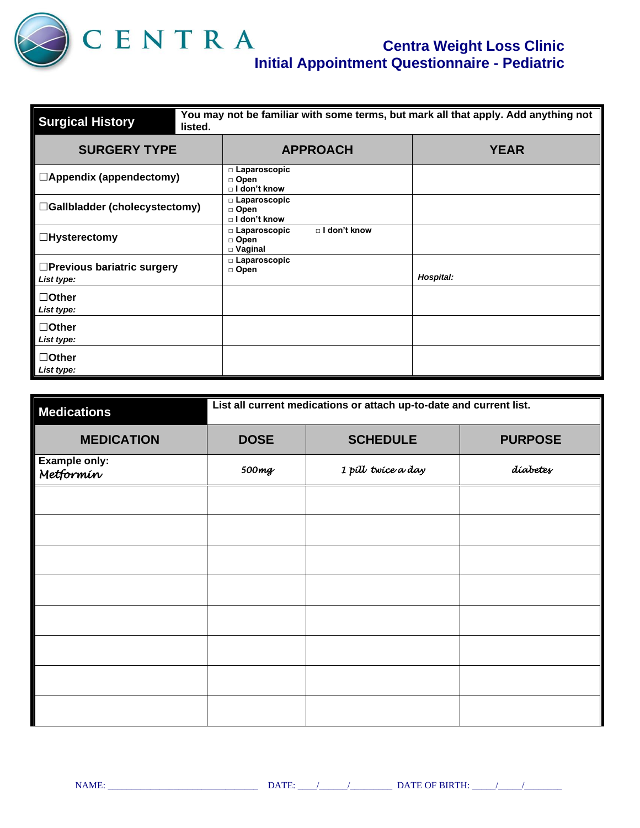

| <b>Surgical History</b>                         | You may not be familiar with some terms, but mark all that apply. Add anything not<br>listed. |                                                         |             |  |
|-------------------------------------------------|-----------------------------------------------------------------------------------------------|---------------------------------------------------------|-------------|--|
| <b>SURGERY TYPE</b>                             |                                                                                               | <b>APPROACH</b>                                         | <b>YEAR</b> |  |
| $\Box$ Appendix (appendectomy)                  |                                                                                               | □ Laparoscopic<br>□ Open<br>□ I don't know              |             |  |
| □Gallbladder (cholecystectomy)                  |                                                                                               | □ Laparoscopic<br>□ Open<br>$\Box$ I don't know         |             |  |
| $\Box$ Hysterectomy                             |                                                                                               | □ I don't know<br>□ Laparoscopic<br>□ Open<br>□ Vaginal |             |  |
| $\Box$ Previous bariatric surgery<br>List type: |                                                                                               | $\square$ Laparoscopic<br>□ Open                        | Hospital:   |  |
| $\Box$ Other<br>List type:                      |                                                                                               |                                                         |             |  |
| $\Box$ Other<br>List type:                      |                                                                                               |                                                         |             |  |
| $\Box$ Other<br>List type:                      |                                                                                               |                                                         |             |  |

| <b>Medications</b>                | List all current medications or attach up-to-date and current list. |                    |          |  |
|-----------------------------------|---------------------------------------------------------------------|--------------------|----------|--|
| <b>MEDICATION</b>                 | <b>SCHEDULE</b><br><b>PURPOSE</b><br><b>DOSE</b>                    |                    |          |  |
| <b>Example only:</b><br>Metformin | 500mg                                                               | 1 pill twice a day | díabetes |  |
|                                   |                                                                     |                    |          |  |
|                                   |                                                                     |                    |          |  |
|                                   |                                                                     |                    |          |  |
|                                   |                                                                     |                    |          |  |
|                                   |                                                                     |                    |          |  |
|                                   |                                                                     |                    |          |  |
|                                   |                                                                     |                    |          |  |
|                                   |                                                                     |                    |          |  |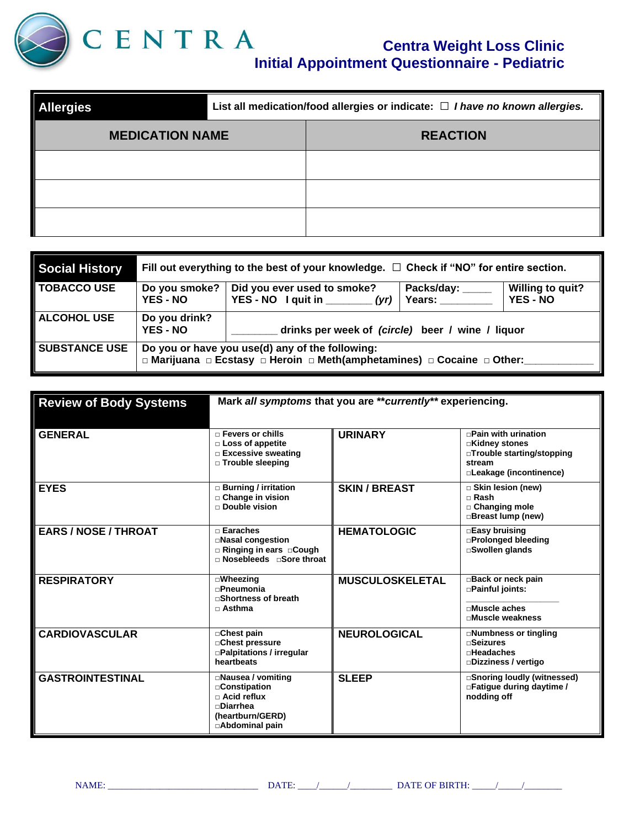

| <b>Allergies</b>       | List all medication/food allergies or indicate: $\Box$ I have no known allergies. |                 |  |
|------------------------|-----------------------------------------------------------------------------------|-----------------|--|
| <b>MEDICATION NAME</b> |                                                                                   | <b>REACTION</b> |  |
|                        |                                                                                   |                 |  |
|                        |                                                                                   |                 |  |
|                        |                                                                                   |                 |  |

| Social History       | Fill out everything to the best of your knowledge. $\Box$ Check if "NO" for entire section.                                |                                                                                                                                         |  |  |  |  |
|----------------------|----------------------------------------------------------------------------------------------------------------------------|-----------------------------------------------------------------------------------------------------------------------------------------|--|--|--|--|
| ∥ TOBACCO USE        | Do you smoke?<br><b>YES - NO</b>                                                                                           | Packs/day: _<br><b>Willing to quit?</b><br>Did you ever used to smoke?<br>YES - NO I quit in $(yr)$<br><b>YES - NO</b><br><b>Years:</b> |  |  |  |  |
| <b>ALCOHOL USE</b>   | Do you drink?<br><b>YES - NO</b>                                                                                           | drinks per week of (circle) beer / wine / liquor                                                                                        |  |  |  |  |
| <b>SUBSTANCE USE</b> | Do you or have you use(d) any of the following:<br>□ Marijuana □ Ecstasy □ Heroin □ Meth(amphetamines) □ Cocaine □ Other:_ |                                                                                                                                         |  |  |  |  |

| <b>Review of Body Systems</b> | Mark all symptoms that you are ** currently** experiencing.                                                                   |                        |                                                                                                                 |
|-------------------------------|-------------------------------------------------------------------------------------------------------------------------------|------------------------|-----------------------------------------------------------------------------------------------------------------|
| <b>GENERAL</b>                | $\Box$ Fevers or chills<br>$\Box$ Loss of appetite<br>□ Excessive sweating<br>$\Box$ Trouble sleeping                         | <b>URINARY</b>         | $\Box$ Pain with urination<br>□Kidney stones<br>□Trouble starting/stopping<br>stream<br>□Leakage (incontinence) |
| <b>EYES</b>                   | $\Box$ Burning / irritation<br>$\Box$ Change in vision<br>$\Box$ Double vision                                                | <b>SKIN / BREAST</b>   | □ Skin lesion (new)<br>$\Box$ Rash<br>$\Box$ Changing mole<br>□Breast lump (new)                                |
| <b>EARS / NOSE / THROAT</b>   | $\Box$ Earaches<br>□Nasal congestion<br>$\Box$ Ringing in ears $\Box$ Cough<br>□ Nosebleeds □ Sore throat                     | <b>HEMATOLOGIC</b>     | □Easy bruising<br>□Prolonged bleeding<br>□Swollen glands                                                        |
| <b>RESPIRATORY</b>            | $\square$ Wheezing<br>$n$ Pneumonia<br>□Shortness of breath<br>$\Box$ Asthma                                                  | <b>MUSCULOSKELETAL</b> | Back or neck pain<br>□Painful joints:<br>$\Box$ Muscle aches<br>□Muscle weakness                                |
| <b>CARDIOVASCULAR</b>         | □Chest pain<br>□ Chest pressure<br>$\Box$ Palpitations / irregular<br>heartbeats                                              | <b>NEUROLOGICAL</b>    | □Numbness or tingling<br>$\Box$ Seizures<br>$n$ Headaches<br>□Dizziness / vertigo                               |
| <b>GASTROINTESTINAL</b>       | $\square$ Nausea / vomiting<br>□ Constipation<br>$\Box$ Acid reflux<br>$\neg$ Diarrhea<br>(heartburn/GERD)<br>□Abdominal pain | <b>SLEEP</b>           | □Snoring loudly (witnessed)<br>□ Fatique during daytime /<br>nodding off                                        |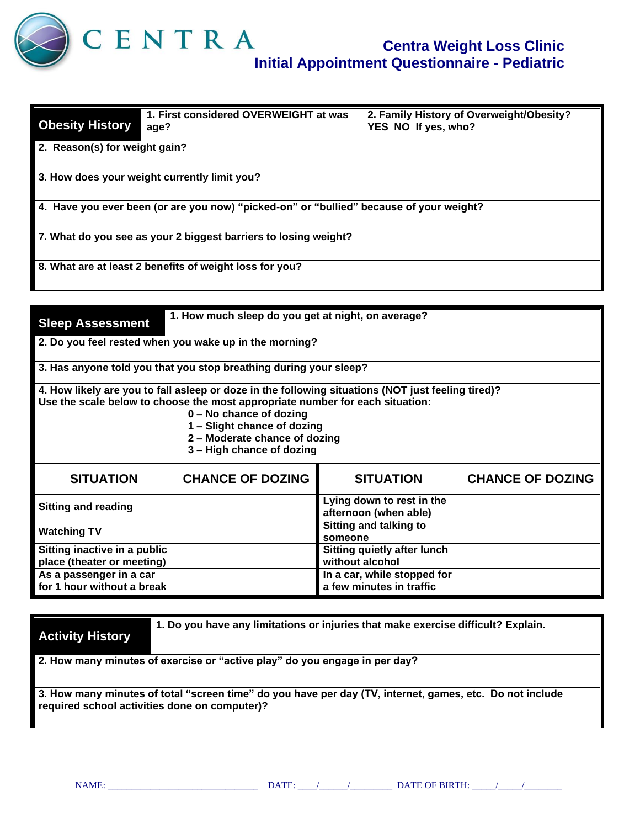

| <b>Obesity History</b>                                                                  | 1. First considered OVERWEIGHT at was<br>age?           | 2. Family History of Overweight/Obesity?<br>YES NO If yes, who? |  |  |  |
|-----------------------------------------------------------------------------------------|---------------------------------------------------------|-----------------------------------------------------------------|--|--|--|
| 2. Reason(s) for weight gain?                                                           |                                                         |                                                                 |  |  |  |
| 3. How does your weight currently limit you?                                            |                                                         |                                                                 |  |  |  |
| 4. Have you ever been (or are you now) "picked-on" or "bullied" because of your weight? |                                                         |                                                                 |  |  |  |
| 7. What do you see as your 2 biggest barriers to losing weight?                         |                                                         |                                                                 |  |  |  |
|                                                                                         | 8. What are at least 2 benefits of weight loss for you? |                                                                 |  |  |  |

| <b>Sleep Assessment</b>                                                                                                                                                                                                                                                                                     | 1. How much sleep do you get at night, on average? |                                                         |                         |  |  |  |
|-------------------------------------------------------------------------------------------------------------------------------------------------------------------------------------------------------------------------------------------------------------------------------------------------------------|----------------------------------------------------|---------------------------------------------------------|-------------------------|--|--|--|
| 2. Do you feel rested when you wake up in the morning?                                                                                                                                                                                                                                                      |                                                    |                                                         |                         |  |  |  |
| 3. Has anyone told you that you stop breathing during your sleep?                                                                                                                                                                                                                                           |                                                    |                                                         |                         |  |  |  |
| 4. How likely are you to fall asleep or doze in the following situations (NOT just feeling tired)?<br>Use the scale below to choose the most appropriate number for each situation:<br>0 - No chance of dozing<br>1 - Slight chance of dozing<br>2 - Moderate chance of dozing<br>3 - High chance of dozing |                                                    |                                                         |                         |  |  |  |
| <b>SITUATION</b>                                                                                                                                                                                                                                                                                            | <b>CHANCE OF DOZING</b>                            | <b>SITUATION</b>                                        | <b>CHANCE OF DOZING</b> |  |  |  |
| <b>Sitting and reading</b>                                                                                                                                                                                                                                                                                  |                                                    | Lying down to rest in the<br>afternoon (when able)      |                         |  |  |  |
| <b>Watching TV</b>                                                                                                                                                                                                                                                                                          |                                                    | <b>Sitting and talking to</b><br>someone                |                         |  |  |  |
| Sitting inactive in a public<br>place (theater or meeting)                                                                                                                                                                                                                                                  |                                                    | <b>Sitting quietly after lunch</b><br>without alcohol   |                         |  |  |  |
| As a passenger in a car<br>for 1 hour without a break                                                                                                                                                                                                                                                       |                                                    | In a car, while stopped for<br>a few minutes in traffic |                         |  |  |  |

**Activity History**

**1. Do you have any limitations or injuries that make exercise difficult? Explain.**

**2. How many minutes of exercise or "active play" do you engage in per day?**

**3. How many minutes of total "screen time" do you have per day (TV, internet, games, etc. Do not include required school activities done on computer)?**